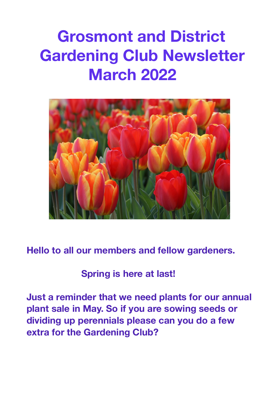# **Grosmont and District Gardening Club Newsletter March 2022**



**Hello to all our members and fellow gardeners.** 

#### **Spring is here at last!**

**Just a reminder that we need plants for our annual plant sale in May. So if you are sowing seeds or dividing up perennials please can you do a few extra for the Gardening Club?**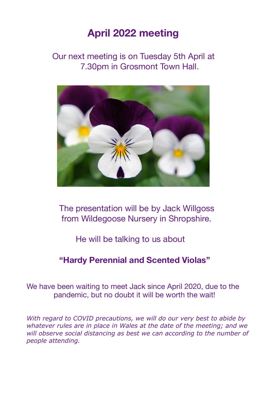### **April 2022 meeting**

 Our next meeting is on Tuesday 5th April at 7.30pm in Grosmont Town Hall.



 The presentation will be by Jack Willgoss from Wildegoose Nursery in Shropshire.

#### He will be talking to us about

#### **"Hardy Perennial and Scented Violas"**

We have been waiting to meet Jack since April 2020, due to the pandemic, but no doubt it will be worth the wait!

*With regard to COVID precautions, we will do our very best to abide by whatever rules are in place in Wales at the date of the meeting; and we will observe social distancing as best we can according to the number of people attending.*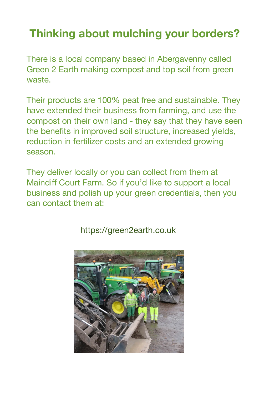# **Thinking about mulching your borders?**

There is a local company based in Abergavenny called Green 2 Earth making compost and top soil from green waste.

Their products are 100% peat free and sustainable. They have extended their business from farming, and use the compost on their own land - they say that they have seen the benefits in improved soil structure, increased yields, reduction in fertilizer costs and an extended growing season.

They deliver locally or you can collect from them at Maindiff Court Farm. So if you'd like to support a local business and polish up your green credentials, then you can contact them at:



https://green2earth.co.uk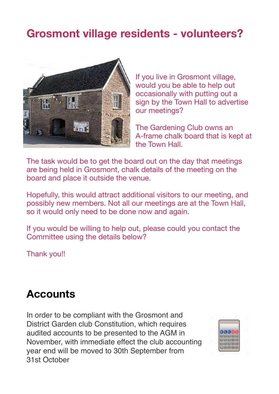# **Grosmont village residents - volunteers?**



If you live in Grosmont village, would you be able to help out occasionally with putting out a sign by the Town Hall to advertise our meetings?

The Gardening Club owns an A-frame chalk board that is kept at the Town Hall.

The task would be to get the board out on the day that meetings are being held in Grosmont, chalk details of the meeting on the board and place it outside the venue.

Hopefully, this would attract additional visitors to our meeting, and possibly new members. Not all our meetings are at the Town Hall, so it would only need to be done now and again.

If you would be willing to help out, please could you contact the Committee using the details below?

Thank you!!

## **Accounts**

In order to be compliant with the Grosmont and District Garden club Constitution, which requires audited accounts to be presented to the AGM in November, with immediate effect the club accounting year end will be moved to 30th September from 31st October